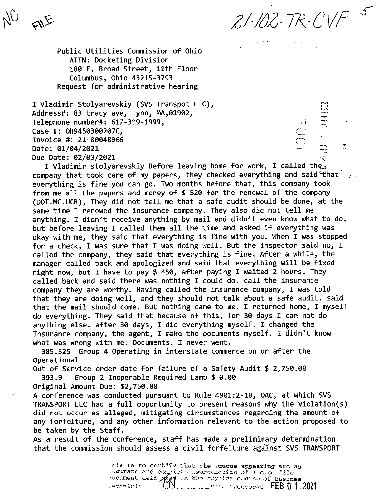$21 - 102 - 7R - CVF<sup>-5</sup>$ 

EOLO

 $\frac{\Xi'}{\Gamma}$ 

 $\mathbb{T}$ 

Public Utilities Commission of Ohio ATTN: Docketing Division 180 E. Broad Street, 11th Floor Columbus, Ohio 43215-3793 Request for administrative hearing

FILE

I Vladimir Stolyarevskiy (SVS Transpot LLC), Address#: 83 tracy ave, Lynn, MA,01902, Telephone number#: 617-319-1999, CASE #: UN9450300207C,<br>Inveice #: 11 000400*66* Invoice #: 21-00048966 Date: 01/04/2021<br>Due Date: 02/03/2021

iv? Due Date: 02/03/2021<br>I Vladimir stolyarevskiy Before leaving home for work, I called the<br>A supervention and spided are above the sense of the sense of the sense of the sense of the sense of the sense company that took care of my papers, they checked everything and said  $\mathcal{F}$ hat  $\Box$ everything is fine you can go. Two months before that, this company took from me all the papers and money of \$ <sup>520</sup> for the renewal of the company (DOT.MC.UCR), They did not tell me that <sup>a</sup> safe audit should be done, at the same time I renewed the insurance company. They also did not tell me anything. I didn't receive anything by mail and didn't even know what to do, but before leaving I called them all the time and asked if everything was okay with me, they said that everything is fine with you. When I was stopped for <sup>a</sup> check, I was sure that I was doing well. But the inspector said no, I called the company, they said that everything is fine. After <sup>a</sup> while, the manager called back and apologized and said that everything will be fixed right now, but I have to pay \$ 450, after paying I waited <sup>2</sup> hours. They called back and said there was nothing I could do. call the insurance company they are worthy. Having called the insurance company, I was told that they are doing well, and they should not talk about <sup>a</sup> safe audit, said that the mail should come. But nothing came to me. I returned home, I myself do everything. They said that because of this, for <sup>30</sup> days I can not do anything else, after <sup>30</sup> days, I did everything myself. I changed the Insurance company, the agent, I make the documents myself. I didn't know what was wrong with me. Documents. I never went,

385.325 Group 4 Operating in interstate commerce on or after the Operational

Out of Service order date for failure of <sup>a</sup> Safety Audit \$ 2,750.00

393.9 Group 2 Inoperable Required Lamp \$ 0,00

Original Amount Due: \$2,750,00

<sup>A</sup> conference was conducted pursuant to Rule 4901:2-10, OAC, at which SVS TRANSPORT LLC had <sup>a</sup> full opportunity to present reasons why the violation(s) did not occur as alleged, mitigating circumstances regarding the amount of any forfeiture, and any other information relevant to the action proposed to be taken by the Staff.

As <sup>a</sup> result of the conference, staff has made <sup>a</sup> preliminary determination that the commission should assess <sup>a</sup> civil forfeiture against SVS TRANSPORT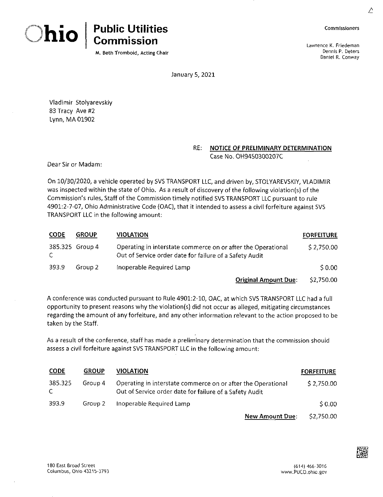



**M. Beth Trombold, Acting Chair**

**Commissioners**

Lawrence K. Friedeman Dennis P. Deters Daniel R. Conway

January 5, 2021

Vladimir Stolyarevskiy 83 Tracy Ave #2 Lynn, MA 01902

### **RE: NOTICE OF PRELIMINARY DETERMINATION** Case No. OH9450300207C

Dear Sir or Madam:

On 10/30/2020, a vehicle operated by 5VS TRANSPORT LLC, and driven by, STOLYAREVSKIY, VLADIMIR was inspected within the state of Ohio. As a result of discovery of the following violation(s) of the Commission's rules. Staff of the Commission timely notified SVS TRANSPORT LLC pursuant to rule 4901:2-7-07, Ohio Administrative Code (OAC), that it intended to assess a civil forfeiture against SVS TRANSPORT LLC in the following amount:

| <b>CODE</b> | <b>GROUP</b>    | <b>VIOLATION</b>                                                                                                        | <b>FORFEITURE</b> |  |
|-------------|-----------------|-------------------------------------------------------------------------------------------------------------------------|-------------------|--|
| C.          | 385.325 Group 4 | Operating in interstate commerce on or after the Operational<br>Out of Service order date for failure of a Safety Audit | \$2,750.00        |  |
| 393.9       | Group 2         | Inoperable Required Lamp                                                                                                | \$0.00            |  |
|             |                 | <b>Original Amount Due:</b>                                                                                             | \$2,750.00        |  |

A conference was conducted pursuant to Rule 4901:2-10, OAC, at which SVS TRANSPORT LLC had a full opportunity to present reasons why the violation(s) did not occur as alleged, mitigating circumstances regarding the amount of any forfeiture, and any other information relevant to the action proposed to be taken by the Staff.

As a result of the conference, staff has made a preliminary determination that the commission should assess a civil forfeiture against SVS TRANSPORT LLC in the following amount:

| <b>CODE</b>   | <b>GROUP</b> | VIOLATION                                                                                                               | <b>FORFEITURE</b> |
|---------------|--------------|-------------------------------------------------------------------------------------------------------------------------|-------------------|
| 385.325<br>C. | Group 4      | Operating in interstate commerce on or after the Operational<br>Out of Service order date for failure of a Safety Audit | \$2,750.00        |
| 393.9         | Group 2      | Inoperable Required Lamp                                                                                                | \$0.00            |
|               |              | <b>New Amount Due:</b>                                                                                                  | \$2,750.00        |

∠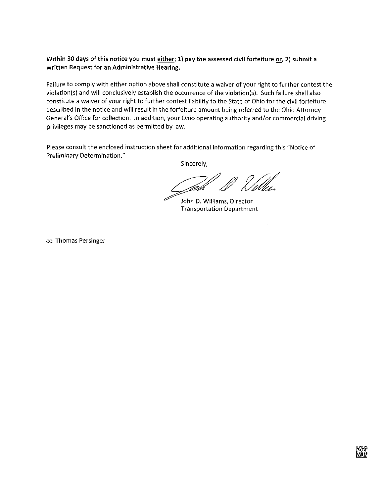### Within 30 days of this notice you must either; 1) pay the assessed civil forfeiture or, 2) submit a **written Request for an Administrative Hearing.**

Failure to comply with either option above shall constitute a waiver of your right to further contest the violation{s) and will conclusively establish the occurrence ofthe violation(s). Such failure shall also constitute <sup>a</sup> waiver of your right to further contest liability to the State of Ohio for the civil forfeiture described in the notice and will result in the forfeiture amount being referred to the Ohio Attorney General's Office for collection. In addition, your Ohio operating authority and/or commercial driving privileges may be sanctioned as permitted by law.

Please consult the enclosed instruction sheet for additional information regarding this "Notice of Preliminary Determination."

Sincerely,

John D. Williams, Director Transportation Department

cc: Thomas Persinger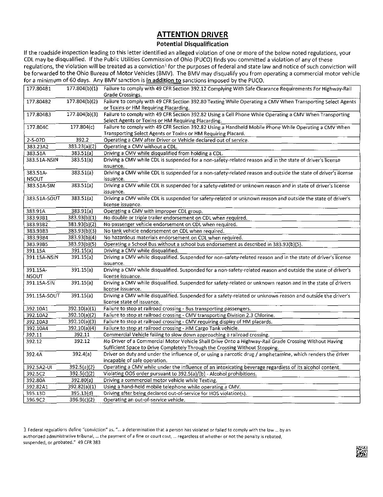## ATTENTION DRIVER

### **Potential Disqualification**

If the roadside inspection leading to this letter identified an alleged violation of one or more of the below noted regulations, your CDL may be disqualified. If the Public Utilities Commission of Ohio (PUCO) finds you committed a violation of any of these regulations, the violation will be treated as a conviction<sup>1</sup> for the purposes of federal and state law and notice of such conviction will be forwarded to the Ohio Bureau of Motor Vehicles (BMV). The BMV may disqualify you from operating <sup>a</sup> commercial motor vehicle for a minimum of 60 days. Any BMV sanction is in addition to sanctions imposed by the PUCO.

| 177.804B1    | 177.804(b)(1) | Failure to comply with 49 CFR Section 392.12 Complying With Safe Clearance Requirements For Highway-Rail<br>Grade Crossings.                        |  |
|--------------|---------------|-----------------------------------------------------------------------------------------------------------------------------------------------------|--|
|              |               |                                                                                                                                                     |  |
| 177.804B2    | 177.804(b)(2) | Failure to comply with 49 CFR Section 392.80 Texting While Operating a CMV When Transporting Select Agents<br>or Toxins or HM Requiring Placarding. |  |
| 177.804B3    | 177.804(b)(3) | Failure to comply with 49 CFR Section 392.82 Using a Cell Phone While Operating a CMV When Transporting                                             |  |
|              |               | Select Agents or Toxins or HM Requiring Placarding.                                                                                                 |  |
| 177.804C     | 177.804(c)    | Failure to comply with 49 CFR Section 392.82 Using a Handheld Mobile Phone While Operating a CMV When                                               |  |
|              |               | Transporting Select Agents or Toxins or HM Requiring Placard.                                                                                       |  |
| 2-5-07D      | 392.2         | Operating a CMV after Driver or Vehicle declared out of service.                                                                                    |  |
| 383.23A2     | 383.23(a)(2)  | Operating a CMV without a CDL.                                                                                                                      |  |
| 383.51A      | 383.51(a)     | Driving a CMV while disqualified from holding a CDL.                                                                                                |  |
| 383.51A-NSIN | 383.51(a)     | Driving a CMV while CDL is suspended for a non-safety-related reason and in the state of driver's license                                           |  |
|              |               | issuance.                                                                                                                                           |  |
| 383.51A-     | 383.51(a)     | Driving a CMV while CDL is suspended for a non-safety-related reason and outside the state of driver's license                                      |  |
| <b>NSOUT</b> |               | issuance.                                                                                                                                           |  |
| 383.51A-SIN  | 383.51(a)     | Driving a CMV while CDL is suspended for a safety-related or unknown reason and in state of driver's license                                        |  |
|              |               | issuance.                                                                                                                                           |  |
| 383.51A-SOUT | 383.51(a)     | Driving a CMV while CDL is suspended for safety-related or unknown reason and outside the state of driver's                                         |  |
|              |               | license issuance.                                                                                                                                   |  |
| 383.91A      | 383.91(a)     | Operating a CMV with improper CDL group.                                                                                                            |  |
| 383.93B1     | 383.93(b)(1)  | No double or triple trailer endorsement on CDL when required.                                                                                       |  |
| 383.93B2     | 383.93(b)(2)  | No passenger vehicle endorsement on CDL when required.                                                                                              |  |
| 383.93B3     | 383.93(b)(3)  | No tank vehicle endorsement on CDL when required.                                                                                                   |  |
| 383.93B4     | 383.93(b)(4)  | No hazardous materials endorsement on CDL when required.                                                                                            |  |
| 383.93B5     | 383.93(b)(5)  | Operating a School Bus without a school bus endorsement as described in 383.93(b)(5).                                                               |  |
| 391.15A      | 391.15(a)     | Driving a CMV while disqualified.                                                                                                                   |  |
| 391.15A-NSIN | 391.15(a)     | Driving a CMV while disqualified. Suspended for non-safety-related reason and in the state of driver's license                                      |  |
|              |               | issuance.                                                                                                                                           |  |
| 391.15A-     | 391.15(a)     | Driving a CMV while disqualified. Suspended for a non-safety-related reason and outside the state of driver's                                       |  |
| <b>NSOUT</b> |               | license issuance.                                                                                                                                   |  |
| 391.15A-SIN  | 391.15(a)     | Driving a CMV while disqualified. Suspended for safety-related or unknown reason and in the state of drivers                                        |  |
|              |               | license issuance.                                                                                                                                   |  |
| 391.15A-SOUT | 391.15(a)     | Driving a CMV while disqualified. Suspended for a safety-related or unknown reason and outside the driver's                                         |  |
|              |               | license state of issuance.                                                                                                                          |  |
| 392.10A1     | 392.10(a)(1)  | Failure to stop at railroad crossing - Bus transporting passengers.                                                                                 |  |
| 392.10A2     | 392.10(a)(2)  | Failure to stop at railroad crossing - CMV transporting Division 2.3 Chlorine.                                                                      |  |
| 392.10A3     | 392.10(a)(3)  | Failure to stop at railroad crossing - CMV requiring display of HM placards.                                                                        |  |
| 392.10A4     | 392.10(a)(4)  | Failure to stop at railroad crossing - HM Cargo Tank vehicle.                                                                                       |  |
| 392.11       | 392.11        | Commercial Vehicle failing to slow down approaching a railroad crossing.                                                                            |  |
| 392.12       | 392.12        | No Driver of a Commercial Motor Vehicle Shall Drive Onto a Highway-Rail Grade Crossing Without Having                                               |  |
|              |               | Sufficient Space to Drive Completely Through the Crossing Without Stopping.                                                                         |  |
| 392.4A       | 392.4(a)      | Driver on duty and under the influence of, or using a narcotic drug / amphetamine, which renders the driver                                         |  |
|              |               | incapable of safe operation.                                                                                                                        |  |
| 392.5A2-UI   | 392.5(a)(2)   | Operating a CMV while under the influence of an intoxicating beverage regardless of its alcohol content.                                            |  |
| 392.5C2      | 392.5(c)(2)   | Violating OOS order pursuant to 392.5(a)/(b) - Alcohol prohibitions.                                                                                |  |
| 392.80A      | 392.80(a)     | Driving a commercial motor vehicle while Texting.                                                                                                   |  |
| 392.82A1     | 392.82(a)(1)  | Using a hand-held mobile telephone while operating a CMV.                                                                                           |  |
| 395.13D      | 395.13(d)     | Driving after being declared out-of-service for HOS violation(s).                                                                                   |  |
| 396.9C2      | 396.9(c)(2)   | Operating an out-of-service vehicle.                                                                                                                |  |

1 Federal regulations define "conviction" as, "... a determination that a person has violated or failed to comply with the law ... by an authorized administrative tribunal, ... the payment of a fine or court cost, ... regardless of whether or not the penalty is rebated, suspended, or probated." 49 CFR 383